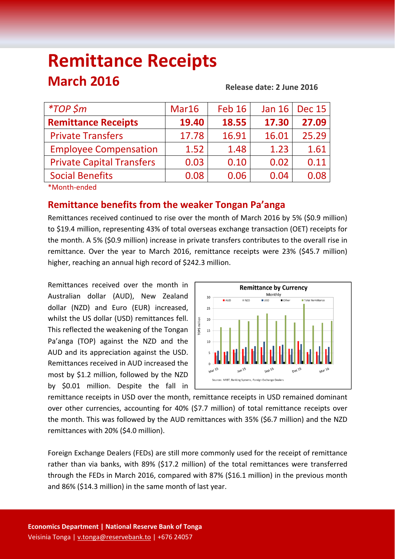# **Remittance Receipts March 2016**

#### **Release date: 2 June 2016**

| $*$ TOP \$m                                                                                            | Mar16 | <b>Feb 16</b> | <b>Jan 16</b> | <b>Dec 15</b> |
|--------------------------------------------------------------------------------------------------------|-------|---------------|---------------|---------------|
| <b>Remittance Receipts</b>                                                                             | 19.40 | 18.55         | 17.30         | 27.09         |
| <b>Private Transfers</b>                                                                               | 17.78 | 16.91         | 16.01         | 25.29         |
| <b>Employee Compensation</b>                                                                           | 1.52  | 1.48          | 1.23          | 1.61          |
| <b>Private Capital Transfers</b>                                                                       | 0.03  | 0.10          | 0.02          | 0.11          |
| <b>Social Benefits</b>                                                                                 | 0.08  | 0.06          | 0.04          | 0.08          |
| $-1$ , $-1$ , $-1$ , $-1$ , $-1$ , $-1$ , $-1$ , $-1$ , $-1$ , $-1$ , $-1$ , $-1$ , $-1$ , $-1$ , $-1$ |       |               |               |               |

\*Month‐ended

## **Remittance benefits from the weaker Tongan Pa'anga**

Remittances received continued to rise over the month of March 2016 by 5% (\$0.9 million) to \$19.4 million, representing 43% of total overseas exchange transaction (OET) receipts for the month. A 5% (\$0.9 million) increase in private transfers contributes to the overall rise in remittance. Over the year to March 2016, remittance receipts were 23% (\$45.7 million) higher, reaching an annual high record of \$242.3 million.

Remittances received over the month in Australian dollar (AUD), New Zealand dollar (NZD) and Euro (EUR) increased, whilst the US dollar (USD) remittances fell. This reflected the weakening of the Tongan Pa'anga (TOP) against the NZD and the AUD and its appreciation against the USD. Remittances received in AUD increased the most by \$1.2 million, followed by the NZD by \$0.01 million. Despite the fall in



remittance receipts in USD over the month, remittance receipts in USD remained dominant over other currencies, accounting for 40% (\$7.7 million) of total remittance receipts over the month. This was followed by the AUD remittances with 35% (\$6.7 million) and the NZD remittances with 20% (\$4.0 million).

Foreign Exchange Dealers (FEDs) are still more commonly used for the receipt of remittance rather than via banks, with 89% (\$17.2 million) of the total remittances were transferred through the FEDs in March 2016, compared with 87% (\$16.1 million) in the previous month and 86% (\$14.3 million) in the same month of last year.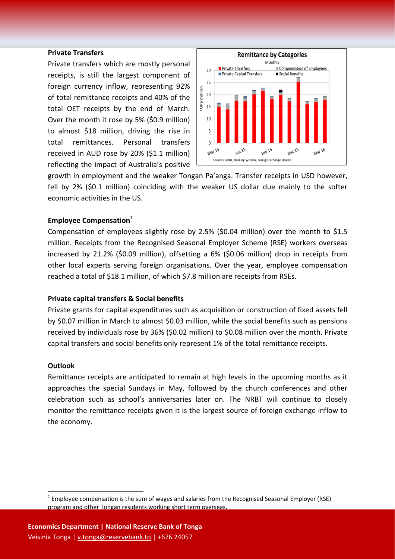#### **Private Transfers**

Private transfers which are mostly personal receipts, is still the largest component of foreign currency inflow, representing 92% of total remittance receipts and 40% of the total OET receipts by the end of March. Over the month it rose by 5% (\$0.9 million) to almost \$18 million, driving the rise in total remittances. Personal transfers received in AUD rose by 20% (\$1.1 million) reflecting the impact of Australia's positive



growth in employment and the weaker Tongan Pa'anga. Transfer receipts in USD however, fell by 2% (\$0.1 million) coinciding with the weaker US dollar due mainly to the softer economic activities in the US.

### **Employee Compensation**<sup>1</sup>

Compensation of employees slightly rose by 2.5% (\$0.04 million) over the month to \$1.5 million. Receipts from the Recognised Seasonal Employer Scheme (RSE) workers overseas increased by 21.2% (\$0.09 million), offsetting a 6% (\$0.06 million) drop in receipts from other local experts serving foreign organisations. Over the year, employee compensation reached a total of \$18.1 million, of which \$7.8 million are receipts from RSEs.

#### **Private capital transfers & Social benefits**

Private grants for capital expenditures such as acquisition or construction of fixed assets fell by \$0.07 million in March to almost \$0.03 million, while the social benefits such as pensions received by individuals rose by 36% (\$0.02 million) to \$0.08 million over the month. Private capital transfers and social benefits only represent 1% of the total remittance receipts.

#### **Outlook**

Remittance receipts are anticipated to remain at high levels in the upcoming months as it approaches the special Sundays in May, followed by the church conferences and other celebration such as school's anniversaries later on. The NRBT will continue to closely monitor the remittance receipts given it is the largest source of foreign exchange inflow to the economy.

 $1$  Employee compensation is the sum of wages and salaries from the Recognised Seasonal Employer (RSE) program and other Tongan residents working short term overseas.